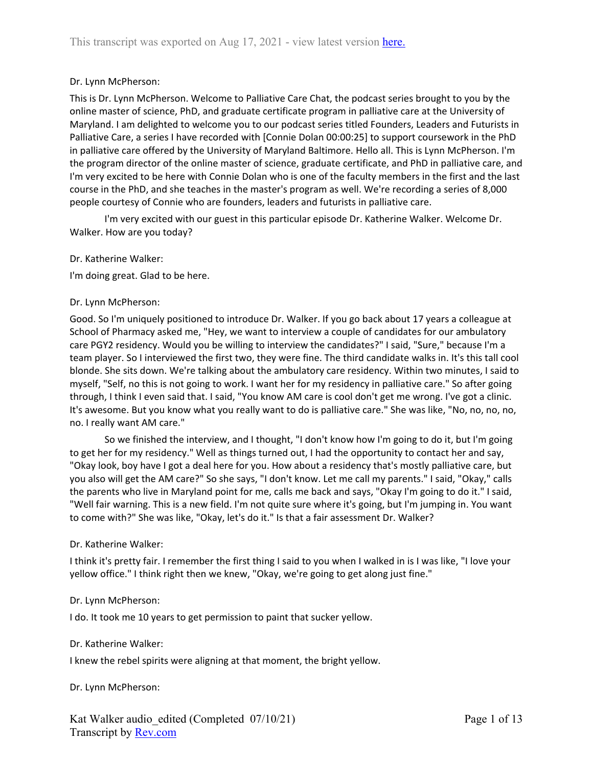### Dr. Lynn McPherson:

This is Dr. Lynn McPherson. Welcome to Palliative Care Chat, the podcast series brought to you by the online master of science, PhD, and graduate certificate program in palliative care at the University of Maryland. I am delighted to welcome you to our podcast series titled Founders, Leaders and Futurists in Palliative Care, a series I have recorded with [Connie Dolan 00:00:25] to support coursework in the PhD in palliative care offered by the University of Maryland Baltimore. Hello all. This is Lynn McPherson. I'm the program director of the online master of science, graduate certificate, and PhD in palliative care, and I'm very excited to be here with Connie Dolan who is one of the faculty members in the first and the last course in the PhD, and she teaches in the master's program as well. We're recording a series of 8,000 people courtesy of Connie who are founders, leaders and futurists in palliative care.

I'm very excited with our guest in this particular episode Dr. Katherine Walker. Welcome Dr. Walker. How are you today?

#### Dr. Katherine Walker:

I'm doing great. Glad to be here.

#### Dr. Lynn McPherson:

Good. So I'm uniquely positioned to introduce Dr. Walker. If you go back about 17 years a colleague at School of Pharmacy asked me, "Hey, we want to interview a couple of candidates for our ambulatory care PGY2 residency. Would you be willing to interview the candidates?" I said, "Sure," because I'm a team player. So I interviewed the first two, they were fine. The third candidate walks in. It's this tall cool blonde. She sits down. We're talking about the ambulatory care residency. Within two minutes, I said to myself, "Self, no this is not going to work. I want her for my residency in palliative care." So after going through, I think I even said that. I said, "You know AM care is cool don't get me wrong. I've got a clinic. It's awesome. But you know what you really want to do is palliative care." She was like, "No, no, no, no, no. I really want AM care."

So we finished the interview, and I thought, "I don't know how I'm going to do it, but I'm going to get her for my residency." Well as things turned out, I had the opportunity to contact her and say, "Okay look, boy have I got a deal here for you. How about a residency that's mostly palliative care, but you also will get the AM care?" So she says, "I don't know. Let me call my parents." I said, "Okay," calls the parents who live in Maryland point for me, calls me back and says, "Okay I'm going to do it." I said, "Well fair warning. This is a new field. I'm not quite sure where it's going, but I'm jumping in. You want to come with?" She was like, "Okay, let's do it." Is that a fair assessment Dr. Walker?

#### Dr. Katherine Walker:

I think it's pretty fair. I remember the first thing I said to you when I walked in is I was like, "I love your yellow office." I think right then we knew, "Okay, we're going to get along just fine."

#### Dr. Lynn McPherson:

I do. It took me 10 years to get permission to paint that sucker yellow.

#### Dr. Katherine Walker:

I knew the rebel spirits were aligning at that moment, the bright yellow.

#### Dr. Lynn McPherson: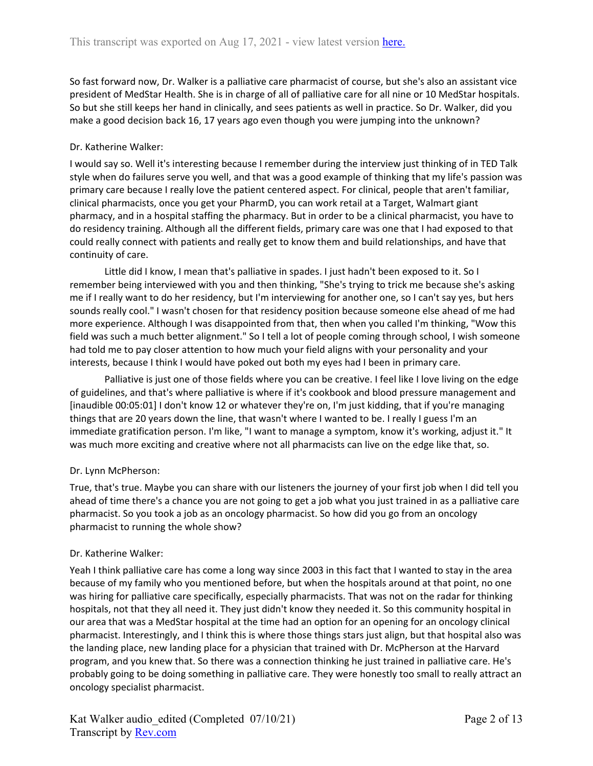So fast forward now, Dr. Walker is a palliative care pharmacist of course, but she's also an assistant vice president of MedStar Health. She is in charge of all of palliative care for all nine or 10 MedStar hospitals. So but she still keeps her hand in clinically, and sees patients as well in practice. So Dr. Walker, did you make a good decision back 16, 17 years ago even though you were jumping into the unknown?

# Dr. Katherine Walker:

I would say so. Well it's interesting because I remember during the interview just thinking of in TED Talk style when do failures serve you well, and that was a good example of thinking that my life's passion was primary care because I really love the patient centered aspect. For clinical, people that aren't familiar, clinical pharmacists, once you get your PharmD, you can work retail at a Target, Walmart giant pharmacy, and in a hospital staffing the pharmacy. But in order to be a clinical pharmacist, you have to do residency training. Although all the different fields, primary care was one that I had exposed to that could really connect with patients and really get to know them and build relationships, and have that continuity of care.

Little did I know, I mean that's palliative in spades. I just hadn't been exposed to it. So I remember being interviewed with you and then thinking, "She's trying to trick me because she's asking me if I really want to do her residency, but I'm interviewing for another one, so I can't say yes, but hers sounds really cool." I wasn't chosen for that residency position because someone else ahead of me had more experience. Although I was disappointed from that, then when you called I'm thinking, "Wow this field was such a much better alignment." So I tell a lot of people coming through school, I wish someone had told me to pay closer attention to how much your field aligns with your personality and your interests, because I think I would have poked out both my eyes had I been in primary care.

Palliative is just one of those fields where you can be creative. I feel like I love living on the edge of guidelines, and that's where palliative is where if it's cookbook and blood pressure management and [inaudible 00:05:01] I don't know 12 or whatever they're on, I'm just kidding, that if you're managing things that are 20 years down the line, that wasn't where I wanted to be. I really I guess I'm an immediate gratification person. I'm like, "I want to manage a symptom, know it's working, adjust it." It was much more exciting and creative where not all pharmacists can live on the edge like that, so.

# Dr. Lynn McPherson:

True, that's true. Maybe you can share with our listeners the journey of your first job when I did tell you ahead of time there's a chance you are not going to get a job what you just trained in as a palliative care pharmacist. So you took a job as an oncology pharmacist. So how did you go from an oncology pharmacist to running the whole show?

# Dr. Katherine Walker:

Yeah I think palliative care has come a long way since 2003 in this fact that I wanted to stay in the area because of my family who you mentioned before, but when the hospitals around at that point, no one was hiring for palliative care specifically, especially pharmacists. That was not on the radar for thinking hospitals, not that they all need it. They just didn't know they needed it. So this community hospital in our area that was a MedStar hospital at the time had an option for an opening for an oncology clinical pharmacist. Interestingly, and I think this is where those things stars just align, but that hospital also was the landing place, new landing place for a physician that trained with Dr. McPherson at the Harvard program, and you knew that. So there was a connection thinking he just trained in palliative care. He's probably going to be doing something in palliative care. They were honestly too small to really attract an oncology specialist pharmacist.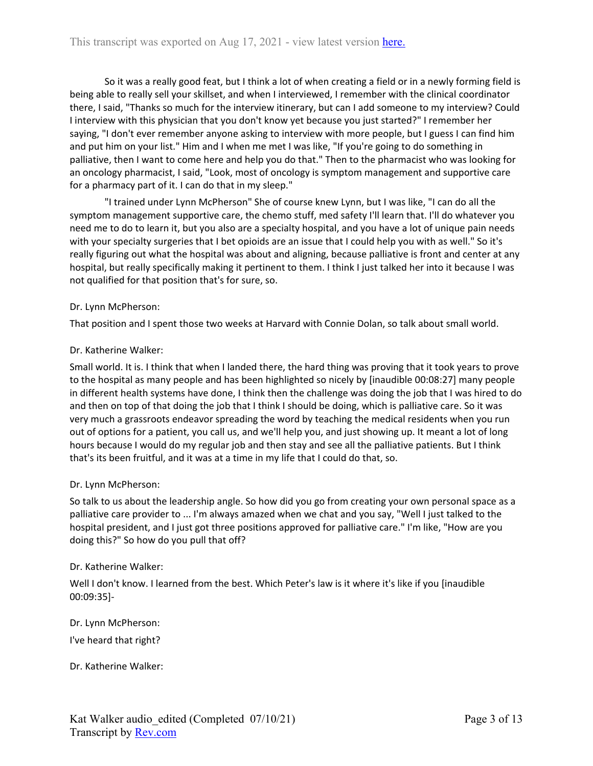So it was a really good feat, but I think a lot of when creating a field or in a newly forming field is being able to really sell your skillset, and when I interviewed, I remember with the clinical coordinator there, I said, "Thanks so much for the interview itinerary, but can I add someone to my interview? Could I interview with this physician that you don't know yet because you just started?" I remember her saying, "I don't ever remember anyone asking to interview with more people, but I guess I can find him and put him on your list." Him and I when me met I was like, "If you're going to do something in palliative, then I want to come here and help you do that." Then to the pharmacist who was looking for an oncology pharmacist, I said, "Look, most of oncology is symptom management and supportive care for a pharmacy part of it. I can do that in my sleep."

"I trained under Lynn McPherson" She of course knew Lynn, but I was like, "I can do all the symptom management supportive care, the chemo stuff, med safety I'll learn that. I'll do whatever you need me to do to learn it, but you also are a specialty hospital, and you have a lot of unique pain needs with your specialty surgeries that I bet opioids are an issue that I could help you with as well." So it's really figuring out what the hospital was about and aligning, because palliative is front and center at any hospital, but really specifically making it pertinent to them. I think I just talked her into it because I was not qualified for that position that's for sure, so.

#### Dr. Lynn McPherson:

That position and I spent those two weeks at Harvard with Connie Dolan, so talk about small world.

#### Dr. Katherine Walker:

Small world. It is. I think that when I landed there, the hard thing was proving that it took years to prove to the hospital as many people and has been highlighted so nicely by [inaudible 00:08:27] many people in different health systems have done, I think then the challenge was doing the job that I was hired to do and then on top of that doing the job that I think I should be doing, which is palliative care. So it was very much a grassroots endeavor spreading the word by teaching the medical residents when you run out of options for a patient, you call us, and we'll help you, and just showing up. It meant a lot of long hours because I would do my regular job and then stay and see all the palliative patients. But I think that's its been fruitful, and it was at a time in my life that I could do that, so.

### Dr. Lynn McPherson:

So talk to us about the leadership angle. So how did you go from creating your own personal space as a palliative care provider to ... I'm always amazed when we chat and you say, "Well I just talked to the hospital president, and I just got three positions approved for palliative care." I'm like, "How are you doing this?" So how do you pull that off?

#### Dr. Katherine Walker:

Well I don't know. I learned from the best. Which Peter's law is it where it's like if you [inaudible 00:09:35]-

Dr. Lynn McPherson:

I've heard that right?

Dr. Katherine Walker: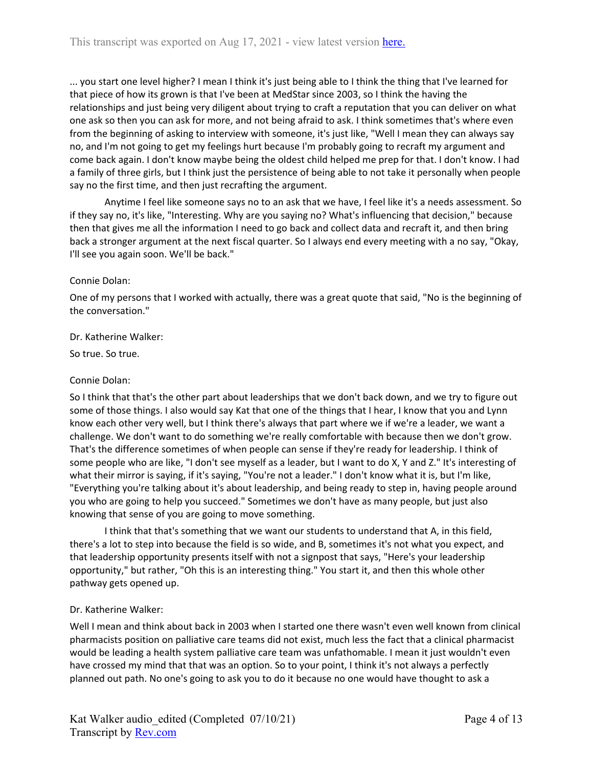... you start one level higher? I mean I think it's just being able to I think the thing that I've learned for that piece of how its grown is that I've been at MedStar since 2003, so I think the having the relationships and just being very diligent about trying to craft a reputation that you can deliver on what one ask so then you can ask for more, and not being afraid to ask. I think sometimes that's where even from the beginning of asking to interview with someone, it's just like, "Well I mean they can always say no, and I'm not going to get my feelings hurt because I'm probably going to recraft my argument and come back again. I don't know maybe being the oldest child helped me prep for that. I don't know. I had a family of three girls, but I think just the persistence of being able to not take it personally when people say no the first time, and then just recrafting the argument.

Anytime I feel like someone says no to an ask that we have, I feel like it's a needs assessment. So if they say no, it's like, "Interesting. Why are you saying no? What's influencing that decision," because then that gives me all the information I need to go back and collect data and recraft it, and then bring back a stronger argument at the next fiscal quarter. So I always end every meeting with a no say, "Okay, I'll see you again soon. We'll be back."

# Connie Dolan:

One of my persons that I worked with actually, there was a great quote that said, "No is the beginning of the conversation."

### Dr. Katherine Walker:

So true. So true.

### Connie Dolan:

So I think that that's the other part about leaderships that we don't back down, and we try to figure out some of those things. I also would say Kat that one of the things that I hear, I know that you and Lynn know each other very well, but I think there's always that part where we if we're a leader, we want a challenge. We don't want to do something we're really comfortable with because then we don't grow. That's the difference sometimes of when people can sense if they're ready for leadership. I think of some people who are like, "I don't see myself as a leader, but I want to do X, Y and Z." It's interesting of what their mirror is saying, if it's saying, "You're not a leader." I don't know what it is, but I'm like, "Everything you're talking about it's about leadership, and being ready to step in, having people around you who are going to help you succeed." Sometimes we don't have as many people, but just also knowing that sense of you are going to move something.

I think that that's something that we want our students to understand that A, in this field, there's a lot to step into because the field is so wide, and B, sometimes it's not what you expect, and that leadership opportunity presents itself with not a signpost that says, "Here's your leadership opportunity," but rather, "Oh this is an interesting thing." You start it, and then this whole other pathway gets opened up.

### Dr. Katherine Walker:

Well I mean and think about back in 2003 when I started one there wasn't even well known from clinical pharmacists position on palliative care teams did not exist, much less the fact that a clinical pharmacist would be leading a health system palliative care team was unfathomable. I mean it just wouldn't even have crossed my mind that that was an option. So to your point, I think it's not always a perfectly planned out path. No one's going to ask you to do it because no one would have thought to ask a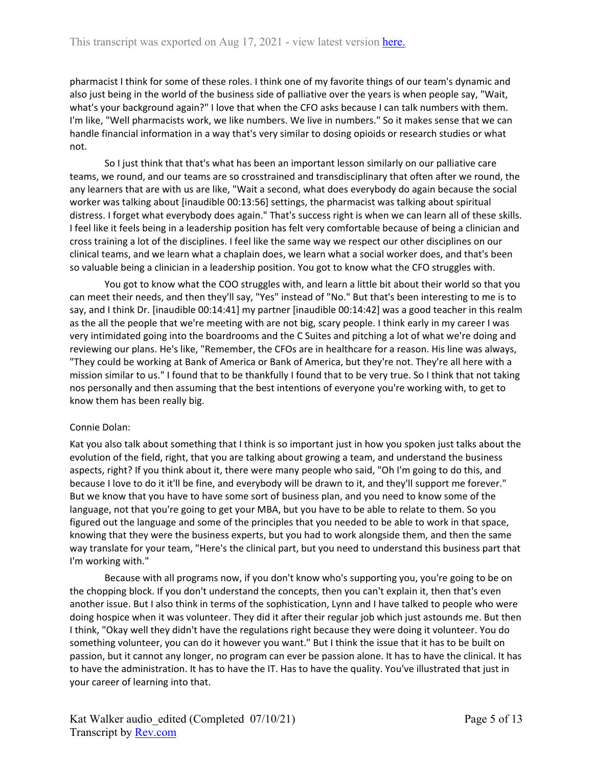pharmacist I think for some of these roles. I think one of my favorite things of our team's dynamic and also just being in the world of the business side of palliative over the years is when people say, "Wait, what's your background again?" I love that when the CFO asks because I can talk numbers with them. I'm like, "Well pharmacists work, we like numbers. We live in numbers." So it makes sense that we can handle financial information in a way that's very similar to dosing opioids or research studies or what not.

So I just think that that's what has been an important lesson similarly on our palliative care teams, we round, and our teams are so crosstrained and transdisciplinary that often after we round, the any learners that are with us are like, "Wait a second, what does everybody do again because the social worker was talking about [inaudible 00:13:56] settings, the pharmacist was talking about spiritual distress. I forget what everybody does again." That's success right is when we can learn all of these skills. I feel like it feels being in a leadership position has felt very comfortable because of being a clinician and cross training a lot of the disciplines. I feel like the same way we respect our other disciplines on our clinical teams, and we learn what a chaplain does, we learn what a social worker does, and that's been so valuable being a clinician in a leadership position. You got to know what the CFO struggles with.

You got to know what the COO struggles with, and learn a little bit about their world so that you can meet their needs, and then they'll say, "Yes" instead of "No." But that's been interesting to me is to say, and I think Dr. [inaudible 00:14:41] my partner [inaudible 00:14:42] was a good teacher in this realm as the all the people that we're meeting with are not big, scary people. I think early in my career I was very intimidated going into the boardrooms and the C Suites and pitching a lot of what we're doing and reviewing our plans. He's like, "Remember, the CFOs are in healthcare for a reason. His line was always, "They could be working at Bank of America or Bank of America, but they're not. They're all here with a mission similar to us." I found that to be thankfully I found that to be very true. So I think that not taking nos personally and then assuming that the best intentions of everyone you're working with, to get to know them has been really big.

### Connie Dolan:

Kat you also talk about something that I think is so important just in how you spoken just talks about the evolution of the field, right, that you are talking about growing a team, and understand the business aspects, right? If you think about it, there were many people who said, "Oh I'm going to do this, and because I love to do it it'll be fine, and everybody will be drawn to it, and they'll support me forever." But we know that you have to have some sort of business plan, and you need to know some of the language, not that you're going to get your MBA, but you have to be able to relate to them. So you figured out the language and some of the principles that you needed to be able to work in that space, knowing that they were the business experts, but you had to work alongside them, and then the same way translate for your team, "Here's the clinical part, but you need to understand this business part that I'm working with."

Because with all programs now, if you don't know who's supporting you, you're going to be on the chopping block. If you don't understand the concepts, then you can't explain it, then that's even another issue. But I also think in terms of the sophistication, Lynn and I have talked to people who were doing hospice when it was volunteer. They did it after their regular job which just astounds me. But then I think, "Okay well they didn't have the regulations right because they were doing it volunteer. You do something volunteer, you can do it however you want." But I think the issue that it has to be built on passion, but it cannot any longer, no program can ever be passion alone. It has to have the clinical. It has to have the administration. It has to have the IT. Has to have the quality. You've illustrated that just in your career of learning into that.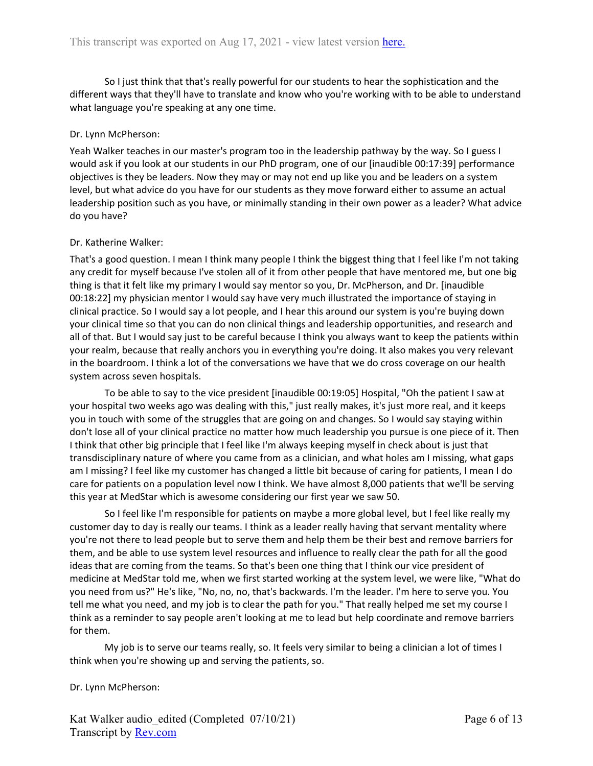So I just think that that's really powerful for our students to hear the sophistication and the different ways that they'll have to translate and know who you're working with to be able to understand what language you're speaking at any one time.

## Dr. Lynn McPherson:

Yeah Walker teaches in our master's program too in the leadership pathway by the way. So I guess I would ask if you look at our students in our PhD program, one of our [inaudible 00:17:39] performance objectives is they be leaders. Now they may or may not end up like you and be leaders on a system level, but what advice do you have for our students as they move forward either to assume an actual leadership position such as you have, or minimally standing in their own power as a leader? What advice do you have?

# Dr. Katherine Walker:

That's a good question. I mean I think many people I think the biggest thing that I feel like I'm not taking any credit for myself because I've stolen all of it from other people that have mentored me, but one big thing is that it felt like my primary I would say mentor so you, Dr. McPherson, and Dr. [inaudible 00:18:22] my physician mentor I would say have very much illustrated the importance of staying in clinical practice. So I would say a lot people, and I hear this around our system is you're buying down your clinical time so that you can do non clinical things and leadership opportunities, and research and all of that. But I would say just to be careful because I think you always want to keep the patients within your realm, because that really anchors you in everything you're doing. It also makes you very relevant in the boardroom. I think a lot of the conversations we have that we do cross coverage on our health system across seven hospitals.

To be able to say to the vice president [inaudible 00:19:05] Hospital, "Oh the patient I saw at your hospital two weeks ago was dealing with this," just really makes, it's just more real, and it keeps you in touch with some of the struggles that are going on and changes. So I would say staying within don't lose all of your clinical practice no matter how much leadership you pursue is one piece of it. Then I think that other big principle that I feel like I'm always keeping myself in check about is just that transdisciplinary nature of where you came from as a clinician, and what holes am I missing, what gaps am I missing? I feel like my customer has changed a little bit because of caring for patients, I mean I do care for patients on a population level now I think. We have almost 8,000 patients that we'll be serving this year at MedStar which is awesome considering our first year we saw 50.

So I feel like I'm responsible for patients on maybe a more global level, but I feel like really my customer day to day is really our teams. I think as a leader really having that servant mentality where you're not there to lead people but to serve them and help them be their best and remove barriers for them, and be able to use system level resources and influence to really clear the path for all the good ideas that are coming from the teams. So that's been one thing that I think our vice president of medicine at MedStar told me, when we first started working at the system level, we were like, "What do you need from us?" He's like, "No, no, no, that's backwards. I'm the leader. I'm here to serve you. You tell me what you need, and my job is to clear the path for you." That really helped me set my course I think as a reminder to say people aren't looking at me to lead but help coordinate and remove barriers for them.

My job is to serve our teams really, so. It feels very similar to being a clinician a lot of times I think when you're showing up and serving the patients, so.

### Dr. Lynn McPherson: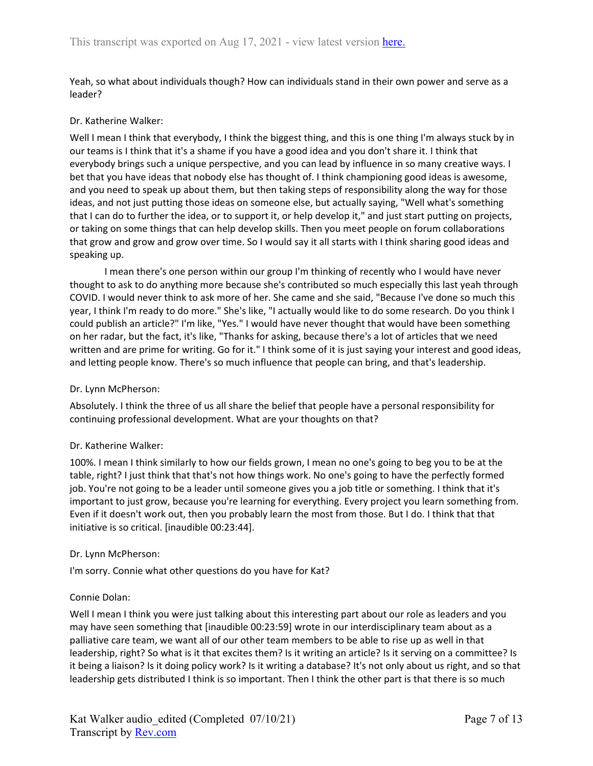Yeah, so what about individuals though? How can individuals stand in their own power and serve as a leader?

### Dr. Katherine Walker:

Well I mean I think that everybody, I think the biggest thing, and this is one thing I'm always stuck by in our teams is I think that it's a shame if you have a good idea and you don't share it. I think that everybody brings such a unique perspective, and you can lead by influence in so many creative ways. I bet that you have ideas that nobody else has thought of. I think championing good ideas is awesome, and you need to speak up about them, but then taking steps of responsibility along the way for those ideas, and not just putting those ideas on someone else, but actually saying, "Well what's something that I can do to further the idea, or to support it, or help develop it," and just start putting on projects, or taking on some things that can help develop skills. Then you meet people on forum collaborations that grow and grow and grow over time. So I would say it all starts with I think sharing good ideas and speaking up.

I mean there's one person within our group I'm thinking of recently who I would have never thought to ask to do anything more because she's contributed so much especially this last yeah through COVID. I would never think to ask more of her. She came and she said, "Because I've done so much this year, I think I'm ready to do more." She's like, "I actually would like to do some research. Do you think I could publish an article?" I'm like, "Yes." I would have never thought that would have been something on her radar, but the fact, it's like, "Thanks for asking, because there's a lot of articles that we need written and are prime for writing. Go for it." I think some of it is just saying your interest and good ideas, and letting people know. There's so much influence that people can bring, and that's leadership.

### Dr. Lynn McPherson:

Absolutely. I think the three of us all share the belief that people have a personal responsibility for continuing professional development. What are your thoughts on that?

### Dr. Katherine Walker:

100%. I mean I think similarly to how our fields grown, I mean no one's going to beg you to be at the table, right? I just think that that's not how things work. No one's going to have the perfectly formed job. You're not going to be a leader until someone gives you a job title or something. I think that it's important to just grow, because you're learning for everything. Every project you learn something from. Even if it doesn't work out, then you probably learn the most from those. But I do. I think that that initiative is so critical. [inaudible 00:23:44].

#### Dr. Lynn McPherson:

I'm sorry. Connie what other questions do you have for Kat?

### Connie Dolan:

Well I mean I think you were just talking about this interesting part about our role as leaders and you may have seen something that [inaudible 00:23:59] wrote in our interdisciplinary team about as a palliative care team, we want all of our other team members to be able to rise up as well in that leadership, right? So what is it that excites them? Is it writing an article? Is it serving on a committee? Is it being a liaison? Is it doing policy work? Is it writing a database? It's not only about us right, and so that leadership gets distributed I think is so important. Then I think the other part is that there is so much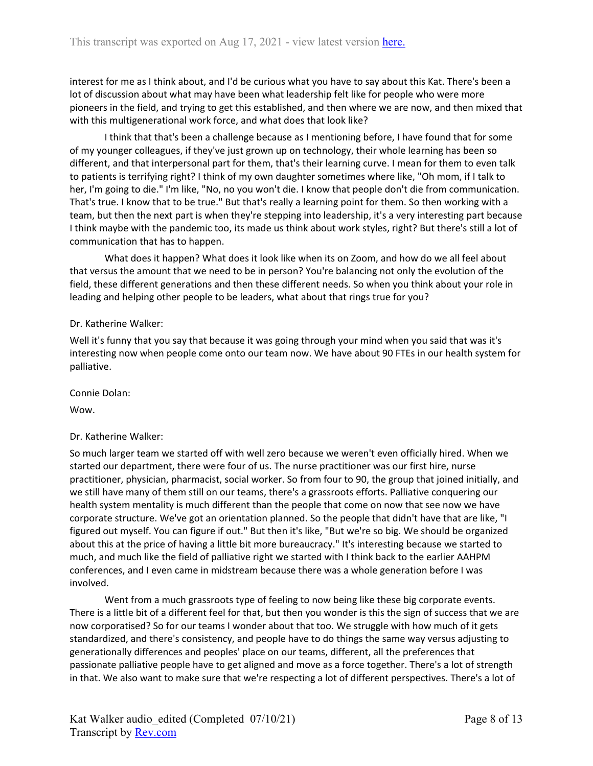interest for me as I think about, and I'd be curious what you have to say about this Kat. There's been a lot of discussion about what may have been what leadership felt like for people who were more pioneers in the field, and trying to get this established, and then where we are now, and then mixed that with this multigenerational work force, and what does that look like?

I think that that's been a challenge because as I mentioning before, I have found that for some of my younger colleagues, if they've just grown up on technology, their whole learning has been so different, and that interpersonal part for them, that's their learning curve. I mean for them to even talk to patients is terrifying right? I think of my own daughter sometimes where like, "Oh mom, if I talk to her, I'm going to die." I'm like, "No, no you won't die. I know that people don't die from communication. That's true. I know that to be true." But that's really a learning point for them. So then working with a team, but then the next part is when they're stepping into leadership, it's a very interesting part because I think maybe with the pandemic too, its made us think about work styles, right? But there's still a lot of communication that has to happen.

What does it happen? What does it look like when its on Zoom, and how do we all feel about that versus the amount that we need to be in person? You're balancing not only the evolution of the field, these different generations and then these different needs. So when you think about your role in leading and helping other people to be leaders, what about that rings true for you?

# Dr. Katherine Walker:

Well it's funny that you say that because it was going through your mind when you said that was it's interesting now when people come onto our team now. We have about 90 FTEs in our health system for palliative.

Connie Dolan:

Wow.

# Dr. Katherine Walker:

So much larger team we started off with well zero because we weren't even officially hired. When we started our department, there were four of us. The nurse practitioner was our first hire, nurse practitioner, physician, pharmacist, social worker. So from four to 90, the group that joined initially, and we still have many of them still on our teams, there's a grassroots efforts. Palliative conquering our health system mentality is much different than the people that come on now that see now we have corporate structure. We've got an orientation planned. So the people that didn't have that are like, "I figured out myself. You can figure if out." But then it's like, "But we're so big. We should be organized about this at the price of having a little bit more bureaucracy." It's interesting because we started to much, and much like the field of palliative right we started with I think back to the earlier AAHPM conferences, and I even came in midstream because there was a whole generation before I was involved.

Went from a much grassroots type of feeling to now being like these big corporate events. There is a little bit of a different feel for that, but then you wonder is this the sign of success that we are now corporatised? So for our teams I wonder about that too. We struggle with how much of it gets standardized, and there's consistency, and people have to do things the same way versus adjusting to generationally differences and peoples' place on our teams, different, all the preferences that passionate palliative people have to get aligned and move as a force together. There's a lot of strength in that. We also want to make sure that we're respecting a lot of different perspectives. There's a lot of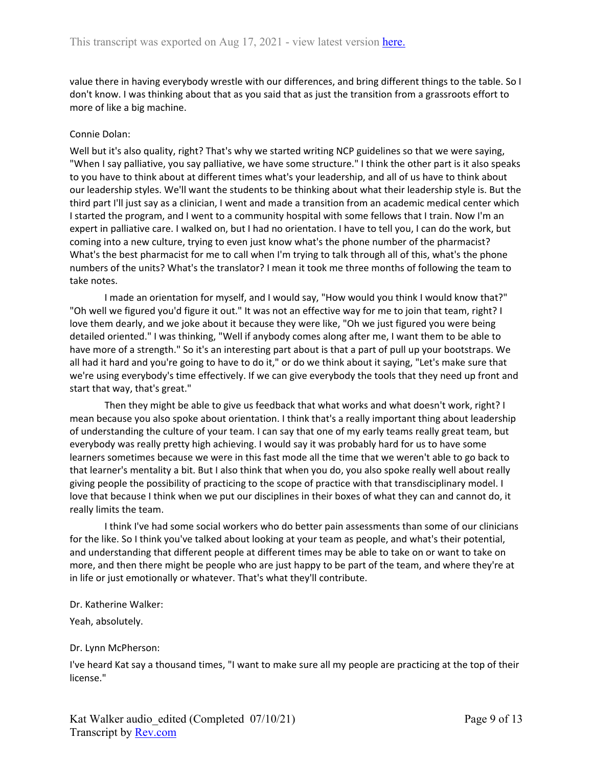value there in having everybody wrestle with our differences, and bring different things to the table. So I don't know. I was thinking about that as you said that as just the transition from a grassroots effort to more of like a big machine.

## Connie Dolan:

Well but it's also quality, right? That's why we started writing NCP guidelines so that we were saying, "When I say palliative, you say palliative, we have some structure." I think the other part is it also speaks to you have to think about at different times what's your leadership, and all of us have to think about our leadership styles. We'll want the students to be thinking about what their leadership style is. But the third part I'll just say as a clinician, I went and made a transition from an academic medical center which I started the program, and I went to a community hospital with some fellows that I train. Now I'm an expert in palliative care. I walked on, but I had no orientation. I have to tell you, I can do the work, but coming into a new culture, trying to even just know what's the phone number of the pharmacist? What's the best pharmacist for me to call when I'm trying to talk through all of this, what's the phone numbers of the units? What's the translator? I mean it took me three months of following the team to take notes.

I made an orientation for myself, and I would say, "How would you think I would know that?" "Oh well we figured you'd figure it out." It was not an effective way for me to join that team, right? I love them dearly, and we joke about it because they were like, "Oh we just figured you were being detailed oriented." I was thinking, "Well if anybody comes along after me, I want them to be able to have more of a strength." So it's an interesting part about is that a part of pull up your bootstraps. We all had it hard and you're going to have to do it," or do we think about it saying, "Let's make sure that we're using everybody's time effectively. If we can give everybody the tools that they need up front and start that way, that's great."

Then they might be able to give us feedback that what works and what doesn't work, right? I mean because you also spoke about orientation. I think that's a really important thing about leadership of understanding the culture of your team. I can say that one of my early teams really great team, but everybody was really pretty high achieving. I would say it was probably hard for us to have some learners sometimes because we were in this fast mode all the time that we weren't able to go back to that learner's mentality a bit. But I also think that when you do, you also spoke really well about really giving people the possibility of practicing to the scope of practice with that transdisciplinary model. I love that because I think when we put our disciplines in their boxes of what they can and cannot do, it really limits the team.

I think I've had some social workers who do better pain assessments than some of our clinicians for the like. So I think you've talked about looking at your team as people, and what's their potential, and understanding that different people at different times may be able to take on or want to take on more, and then there might be people who are just happy to be part of the team, and where they're at in life or just emotionally or whatever. That's what they'll contribute.

### Dr. Katherine Walker:

Yeah, absolutely.

### Dr. Lynn McPherson:

I've heard Kat say a thousand times, "I want to make sure all my people are practicing at the top of their license."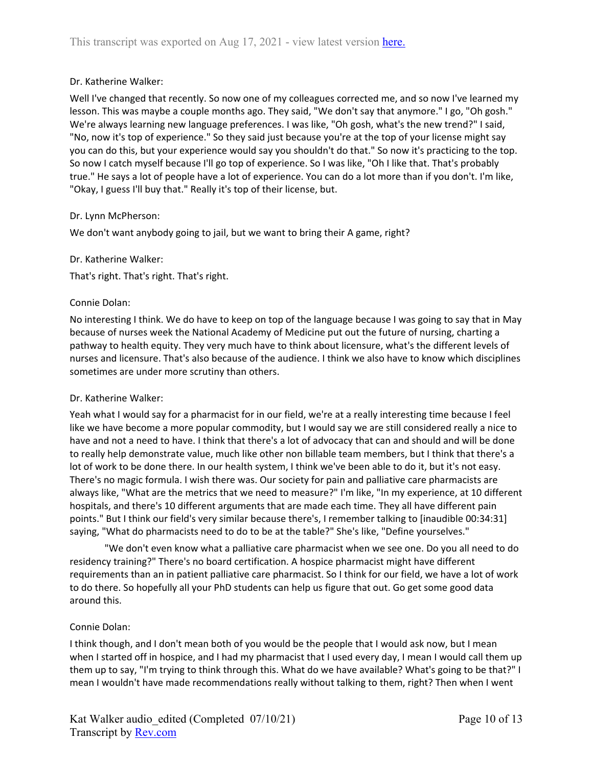# Dr. Katherine Walker:

Well I've changed that recently. So now one of my colleagues corrected me, and so now I've learned my lesson. This was maybe a couple months ago. They said, "We don't say that anymore." I go, "Oh gosh." We're always learning new language preferences. I was like, "Oh gosh, what's the new trend?" I said, "No, now it's top of experience." So they said just because you're at the top of your license might say you can do this, but your experience would say you shouldn't do that." So now it's practicing to the top. So now I catch myself because I'll go top of experience. So I was like, "Oh I like that. That's probably true." He says a lot of people have a lot of experience. You can do a lot more than if you don't. I'm like, "Okay, I guess I'll buy that." Really it's top of their license, but.

### Dr. Lynn McPherson:

We don't want anybody going to jail, but we want to bring their A game, right?

### Dr. Katherine Walker:

That's right. That's right. That's right.

### Connie Dolan:

No interesting I think. We do have to keep on top of the language because I was going to say that in May because of nurses week the National Academy of Medicine put out the future of nursing, charting a pathway to health equity. They very much have to think about licensure, what's the different levels of nurses and licensure. That's also because of the audience. I think we also have to know which disciplines sometimes are under more scrutiny than others.

### Dr. Katherine Walker:

Yeah what I would say for a pharmacist for in our field, we're at a really interesting time because I feel like we have become a more popular commodity, but I would say we are still considered really a nice to have and not a need to have. I think that there's a lot of advocacy that can and should and will be done to really help demonstrate value, much like other non billable team members, but I think that there's a lot of work to be done there. In our health system, I think we've been able to do it, but it's not easy. There's no magic formula. I wish there was. Our society for pain and palliative care pharmacists are always like, "What are the metrics that we need to measure?" I'm like, "In my experience, at 10 different hospitals, and there's 10 different arguments that are made each time. They all have different pain points." But I think our field's very similar because there's, I remember talking to [inaudible 00:34:31] saying, "What do pharmacists need to do to be at the table?" She's like, "Define yourselves."

"We don't even know what a palliative care pharmacist when we see one. Do you all need to do residency training?" There's no board certification. A hospice pharmacist might have different requirements than an in patient palliative care pharmacist. So I think for our field, we have a lot of work to do there. So hopefully all your PhD students can help us figure that out. Go get some good data around this.

### Connie Dolan:

I think though, and I don't mean both of you would be the people that I would ask now, but I mean when I started off in hospice, and I had my pharmacist that I used every day, I mean I would call them up them up to say, "I'm trying to think through this. What do we have available? What's going to be that?" I mean I wouldn't have made recommendations really without talking to them, right? Then when I went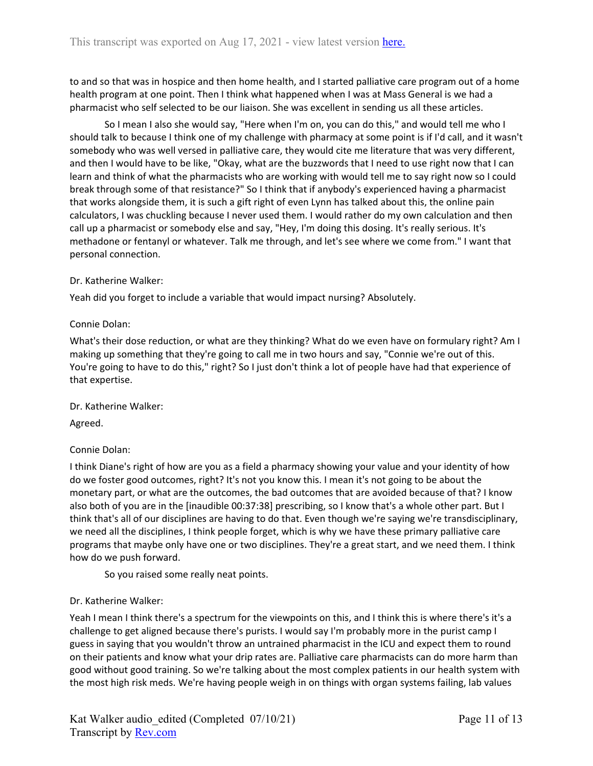to and so that was in hospice and then home health, and I started palliative care program out of a home health program at one point. Then I think what happened when I was at Mass General is we had a pharmacist who self selected to be our liaison. She was excellent in sending us all these articles.

So I mean I also she would say, "Here when I'm on, you can do this," and would tell me who I should talk to because I think one of my challenge with pharmacy at some point is if I'd call, and it wasn't somebody who was well versed in palliative care, they would cite me literature that was very different, and then I would have to be like, "Okay, what are the buzzwords that I need to use right now that I can learn and think of what the pharmacists who are working with would tell me to say right now so I could break through some of that resistance?" So I think that if anybody's experienced having a pharmacist that works alongside them, it is such a gift right of even Lynn has talked about this, the online pain calculators, I was chuckling because I never used them. I would rather do my own calculation and then call up a pharmacist or somebody else and say, "Hey, I'm doing this dosing. It's really serious. It's methadone or fentanyl or whatever. Talk me through, and let's see where we come from." I want that personal connection.

### Dr. Katherine Walker:

Yeah did you forget to include a variable that would impact nursing? Absolutely.

# Connie Dolan:

What's their dose reduction, or what are they thinking? What do we even have on formulary right? Am I making up something that they're going to call me in two hours and say, "Connie we're out of this. You're going to have to do this," right? So I just don't think a lot of people have had that experience of that expertise.

Dr. Katherine Walker:

Agreed.

# Connie Dolan:

I think Diane's right of how are you as a field a pharmacy showing your value and your identity of how do we foster good outcomes, right? It's not you know this. I mean it's not going to be about the monetary part, or what are the outcomes, the bad outcomes that are avoided because of that? I know also both of you are in the [inaudible 00:37:38] prescribing, so I know that's a whole other part. But I think that's all of our disciplines are having to do that. Even though we're saying we're transdisciplinary, we need all the disciplines, I think people forget, which is why we have these primary palliative care programs that maybe only have one or two disciplines. They're a great start, and we need them. I think how do we push forward.

So you raised some really neat points.

# Dr. Katherine Walker:

Yeah I mean I think there's a spectrum for the viewpoints on this, and I think this is where there's it's a challenge to get aligned because there's purists. I would say I'm probably more in the purist camp I guess in saying that you wouldn't throw an untrained pharmacist in the ICU and expect them to round on their patients and know what your drip rates are. Palliative care pharmacists can do more harm than good without good training. So we're talking about the most complex patients in our health system with the most high risk meds. We're having people weigh in on things with organ systems failing, lab values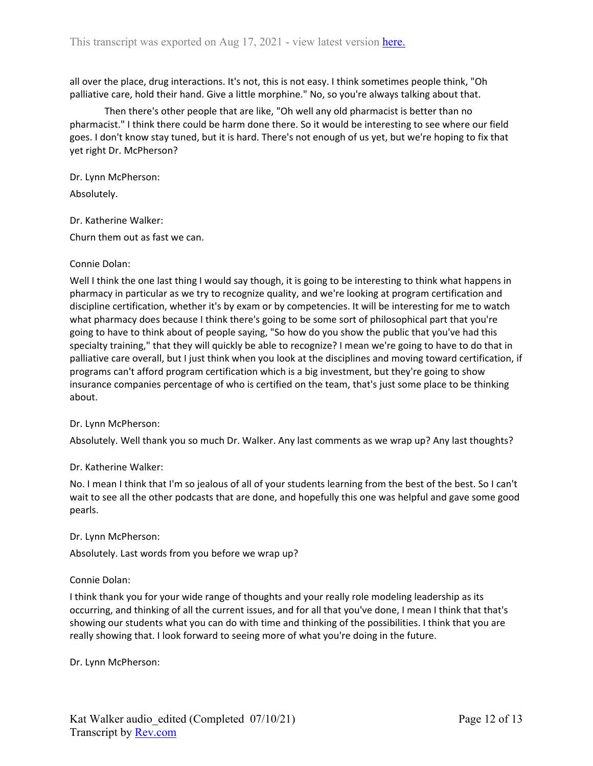all over the place, drug interactions. It's not, this is not easy. I think sometimes people think, "Oh palliative care, hold their hand. Give a little morphine." No, so you're always talking about that.

Then there's other people that are like, "Oh well any old pharmacist is better than no pharmacist." I think there could be harm done there. So it would be interesting to see where our field goes. I don't know stay tuned, but it is hard. There's not enough of us yet, but we're hoping to fix that yet right Dr. McPherson?

Dr. Lynn McPherson:

Absolutely.

Dr. Katherine Walker:

Churn them out as fast we can.

# Connie Dolan:

Well I think the one last thing I would say though, it is going to be interesting to think what happens in pharmacy in particular as we try to recognize quality, and we're looking at program certification and discipline certification, whether it's by exam or by competencies. It will be interesting for me to watch what pharmacy does because I think there's going to be some sort of philosophical part that you're going to have to think about of people saying, "So how do you show the public that you've had this specialty training," that they will quickly be able to recognize? I mean we're going to have to do that in palliative care overall, but I just think when you look at the disciplines and moving toward certification, if programs can't afford program certification which is a big investment, but they're going to show insurance companies percentage of who is certified on the team, that's just some place to be thinking about.

### Dr. Lynn McPherson:

Absolutely. Well thank you so much Dr. Walker. Any last comments as we wrap up? Any last thoughts?

### Dr. Katherine Walker:

No. I mean I think that I'm so jealous of all of your students learning from the best of the best. So I can't wait to see all the other podcasts that are done, and hopefully this one was helpful and gave some good pearls.

### Dr. Lynn McPherson:

Absolutely. Last words from you before we wrap up?

### Connie Dolan:

I think thank you for your wide range of thoughts and your really role modeling leadership as its occurring, and thinking of all the current issues, and for all that you've done, I mean I think that that's showing our students what you can do with time and thinking of the possibilities. I think that you are really showing that. I look forward to seeing more of what you're doing in the future.

Dr. Lynn McPherson: